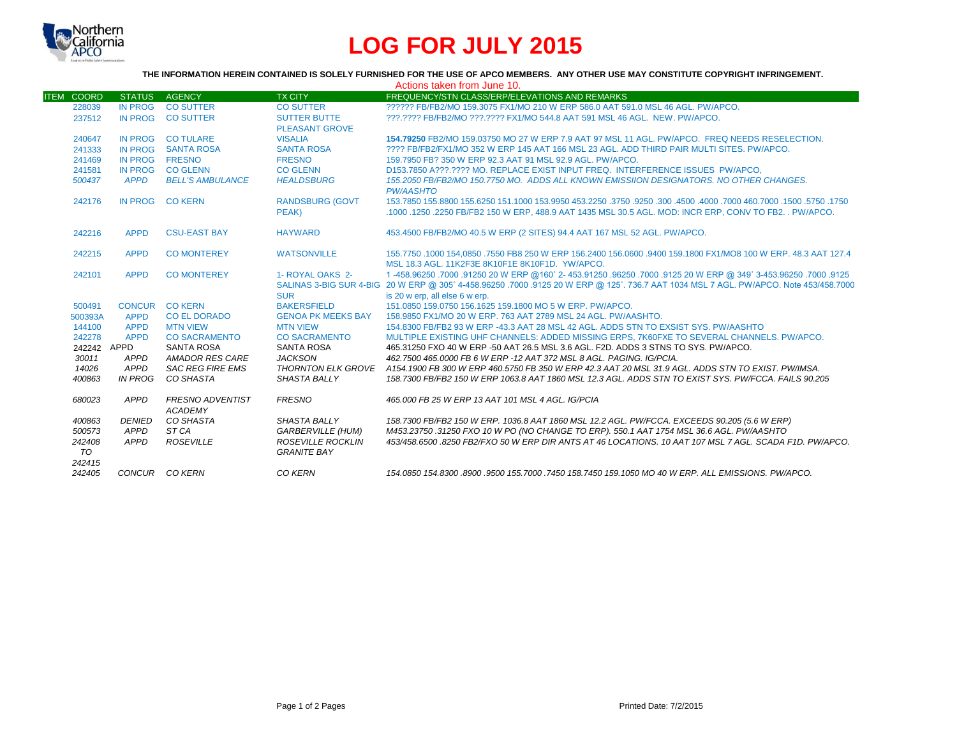

# **LOG FOR JULY 2015**

### **THE INFORMATION HEREIN CONTAINED IS SOLELY FURNISHED FOR THE USE OF APCO MEMBERS. ANY OTHER USE MAY CONSTITUTE COPYRIGHT INFRINGEMENT.**

| Actions taken from June 10. |                |                         |                           |                                                                                                                                       |  |  |  |
|-----------------------------|----------------|-------------------------|---------------------------|---------------------------------------------------------------------------------------------------------------------------------------|--|--|--|
| <b>ITEM COORD</b>           | <b>STATUS</b>  | <b>AGENCY</b>           | <b>TX CITY</b>            | <b>FREQUENCY/STN CLASS/ERP/ELEVATIONS AND REMARKS</b>                                                                                 |  |  |  |
| 228039                      | <b>IN PROG</b> | <b>CO SUTTER</b>        | <b>CO SUTTER</b>          | 222222 FB/FB2/MO 159.3075 FX1/MO 210 W ERP 586.0 AAT 591.0 MSL 46 AGL, PW/APCO.                                                       |  |  |  |
| 237512                      | <b>IN PROG</b> | <b>CO SUTTER</b>        | <b>SUTTER BUTTE</b>       | ???.???? FB/FB2/MO ???.???? FX1/MO 544.8 AAT 591 MSL 46 AGL. NEW. PW/APCO.                                                            |  |  |  |
|                             |                |                         | <b>PLEASANT GROVE</b>     |                                                                                                                                       |  |  |  |
| 240647                      | <b>IN PROG</b> | <b>CO TULARE</b>        | <b>VISALIA</b>            | 154.79250 FB2/MO 159.03750 MO 27 W ERP 7.9 AAT 97 MSL 11 AGL, PW/APCO. FREQ NEEDS RESELECTION.                                        |  |  |  |
| 241333                      | <b>IN PROG</b> | <b>SANTA ROSA</b>       | <b>SANTA ROSA</b>         | ???? FB/FB2/FX1/MO 352 W ERP 145 AAT 166 MSL 23 AGL. ADD THIRD PAIR MULTI SITES, PW/APCO,                                             |  |  |  |
| 241469                      | <b>IN PROG</b> | <b>FRESNO</b>           | <b>FRESNO</b>             | 159.7950 FB? 350 W ERP 92.3 AAT 91 MSL 92.9 AGL. PW/APCO.                                                                             |  |  |  |
| 241581                      | <b>IN PROG</b> | <b>CO GLENN</b>         | <b>CO GLENN</b>           | D153.7850 A???.???? MO. REPLACE EXIST INPUT FREQ. INTERFERENCE ISSUES PW/APCO.                                                        |  |  |  |
| 500437                      | <b>APPD</b>    | <b>BELL'S AMBULANCE</b> | <b>HEALDSBURG</b>         | 155.2050 FB/FB2/MO 150.7750 MO. ADDS ALL KNOWN EMISSIION DESIGNATORS. NO OTHER CHANGES.                                               |  |  |  |
|                             |                |                         |                           | <b>PW/AASHTO</b>                                                                                                                      |  |  |  |
| 242176                      | <b>IN PROG</b> | <b>CO KERN</b>          | <b>RANDSBURG (GOVT</b>    | 1750, 1750, 1500, 1600, 1000 160, 1000, 1600, 1600, 1750, 1750, 1750, 153,9950 161,1000 153,9950 155,0250 1550                        |  |  |  |
|                             |                |                         | PEAK)                     | .1000 .1250 .2250 FB/FB2 150 W ERP. 488.9 AAT 1435 MSL 30.5 AGL. MOD: INCR ERP. CONV TO FB2. . PW/APCO.                               |  |  |  |
|                             |                |                         |                           |                                                                                                                                       |  |  |  |
| 242216                      | <b>APPD</b>    | <b>CSU-EAST BAY</b>     | <b>HAYWARD</b>            | 453.4500 FB/FB2/MO 40.5 W ERP (2 SITES) 94.4 AAT 167 MSL 52 AGL, PW/APCO.                                                             |  |  |  |
|                             |                |                         |                           |                                                                                                                                       |  |  |  |
| 242215                      | <b>APPD</b>    | <b>CO MONTEREY</b>      | <b>WATSONVILLE</b>        | 155,7750 .1000 154,0850 .7550 FB8 250 W ERP 156,2400 156,0600 .9400 159,1800 FX1/MO8 100 W ERP, 48,3 AAT 127,4                        |  |  |  |
|                             |                |                         |                           | MSL 18.3 AGL, 11K2F3E 8K10F1E 8K10F1D, YW/APCO,                                                                                       |  |  |  |
| 242101                      | <b>APPD</b>    | <b>CO MONTEREY</b>      | 1- ROYAL OAKS 2-          | 1250. 1000. 9125-3453.96250. 9125 20 W ERP @160° 2- 453.91250. 96250. 9700. 9125 20 W ERP @ 349° 3-453.96250. 1                       |  |  |  |
|                             |                |                         |                           | SALINAS 3-BIG SUR 4-BIG 20 W ERP @ 305° 4-458.96250 .7000 .9125 20 W ERP @ 125°. 736.7 AAT 1034 MSL 7 AGL. PW/APCO. Note 453/458.7000 |  |  |  |
|                             |                |                         | <b>SUR</b>                | is 20 w erp. all else 6 w erp.                                                                                                        |  |  |  |
| 500491                      |                | CONCUR CO KERN          | <b>BAKERSFIELD</b>        | 151.0850 159.0750 156.1625 159.1800 MO 5 W ERP. PW/APCO.                                                                              |  |  |  |
| 500393A                     | <b>APPD</b>    | <b>CO EL DORADO</b>     | <b>GENOA PK MEEKS BAY</b> | 158,9850 FX1/MO 20 W ERP. 763 AAT 2789 MSL 24 AGL. PW/AASHTO.                                                                         |  |  |  |
| 144100                      | <b>APPD</b>    | <b>MTN VIEW</b>         | <b>MTN VIEW</b>           | 154,8300 FB/FB2 93 W ERP -43.3 AAT 28 MSL 42 AGL, ADDS STN TO EXSIST SYS, PW/AASHTO                                                   |  |  |  |
| 242278                      | <b>APPD</b>    | <b>CO SACRAMENTO</b>    | <b>CO SACRAMENTO</b>      | MULTIPLE EXISTING UHF CHANNELS: ADDED MISSING ERPS, 7K60FXE TO SEVERAL CHANNELS, PW/APCO,                                             |  |  |  |
| 242242 APPD                 |                | <b>SANTA ROSA</b>       | <b>SANTA ROSA</b>         | 465,31250 FXO 40 W ERP -50 AAT 26.5 MSL 3.6 AGL, F2D, ADDS 3 STNS TO SYS, PW/APCO,                                                    |  |  |  |
| 30011                       | APPD           | <b>AMADOR RES CARE</b>  | <b>JACKSON</b>            | 462,7500 465,0000 FB 6 W ERP -12 AAT 372 MSL 8 AGL, PAGING, IG/PCIA.                                                                  |  |  |  |
| 14026                       | APPD           | <b>SAC REG FIRE EMS</b> |                           | THORNTON ELK GROVE A154.1900 FB 300 W ERP 460.5750 FB 350 W ERP 42.3 AAT 20 MSL 31.9 AGL. ADDS STN TO EXIST. PW/IMSA.                 |  |  |  |
| 400863                      | <b>IN PROG</b> | CO SHASTA               | <b>SHASTA BALLY</b>       | 158.7300 FB/FB2 150 W ERP 1063.8 AAT 1860 MSL 12.3 AGL. ADDS STN TO EXIST SYS. PW/FCCA. FAILS 90.205                                  |  |  |  |
|                             |                |                         |                           |                                                                                                                                       |  |  |  |
| 680023                      | APPD           | <b>FRESNO ADVENTIST</b> | <b>FRESNO</b>             | 465,000 FB 25 W ERP 13 AAT 101 MSL 4 AGL. IG/PCIA                                                                                     |  |  |  |
|                             |                | <b>ACADEMY</b>          |                           |                                                                                                                                       |  |  |  |
| 400863                      | <b>DENIED</b>  | CO SHASTA               | <b>SHASTA BALLY</b>       | 158.7300 FB/FB2 150 W ERP. 1036.8 AAT 1860 MSL 12.2 AGL. PW/FCCA. EXCEEDS 90.205 (5.6 W ERP)                                          |  |  |  |
| 500573                      | APPD           | ST CA                   | <b>GARBERVILLE (HUM)</b>  | M453.23750 .31250 FXO 10 W PO (NO CHANGE TO ERP). 550.1 AAT 1754 MSL 36.6 AGL. PW/AASHTO                                              |  |  |  |
| 242408                      | APPD           | <b>ROSEVILLE</b>        | ROSEVILLE ROCKLIN         | 453/458.6500.8250 FB2/FXO 50 W ERP DIR ANTS AT 46 LOCATIONS. 10 AAT 107 MSL 7 AGL. SCADA F1D. PW/APCO.                                |  |  |  |
| TO                          |                |                         | <b>GRANITE BAY</b>        |                                                                                                                                       |  |  |  |
| 242415                      |                |                         |                           |                                                                                                                                       |  |  |  |
| 242405                      |                | CONCUR CO KERN          | CO KERN                   | 154,0850 154,8300,8900,9500 155,7000,7450 158,7450 159,1050 MO 40 W ERP, ALL EMISSIONS, PW/APCO,                                      |  |  |  |
|                             |                |                         |                           |                                                                                                                                       |  |  |  |